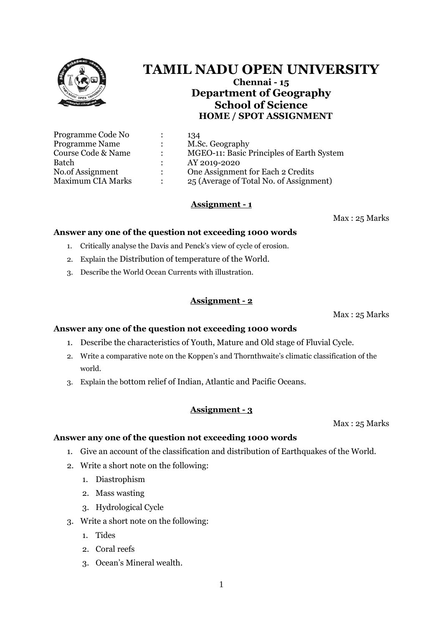

# 3. Ocean's Mineral wealth.

1

## **Assignment - 3**

**Answer any one of the question not exceeding 1000 words**

**Answer any one of the question not exceeding 1000 words**

- - 1. Give an account of the classification and distribution of Earthquakes of the World.
	- 2. Write a short note on the following:

3. Write a short note on the following:

- 
- 1. Diastrophism
- 2. Mass wasting

1. Tides

2. Coral reefs

3. Hydrological Cycle

- 
- 

world.

- 
- 
- 3. Explain the bottom relief of Indian, Atlantic and Pacific Oceans.

1. Describe the characteristics of Youth, Mature and Old stage of Fluvial Cycle.

# **Assignment - 1**

Course Code & Name : MGEO-11: Basic Principles of Earth System

No.of Assignment : One Assignment for Each 2 Credits Maximum CIA Marks : 25 (Average of Total No. of Assignment)

Max : 25 Marks

# **Answer any one of the question not exceeding 1000 words**

- 1. Critically analyse the Davis and Penck's view of cycle of erosion.
- 
- 2. Explain the Distribution of temperature of the World.
- 3. Describe the World Ocean Currents with illustration.

# **Assignment - 2**

2. Write a comparative note on the Koppen's and Thornthwaite's climatic classification of the

Max : 25 Marks

Max : 25 Marks

# **TAMIL NADU OPEN UNIVERSITY**

**Chennai - 15 Department of Geography School of Science HOME / SPOT ASSIGNMENT**



Programme Code No : 134

Programme Name : M.Sc. Geography

Batch : AY 2019-2020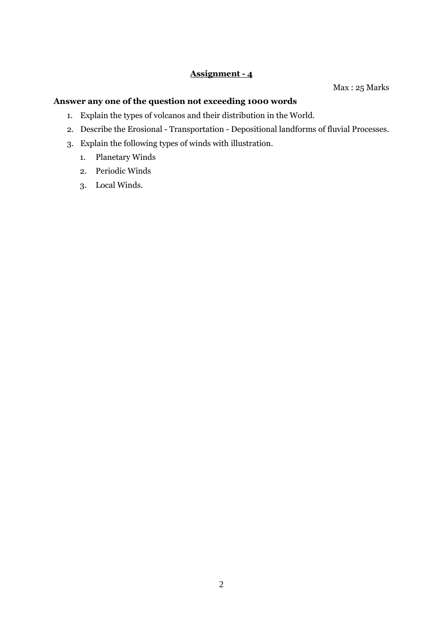### **Assignment - 4**

Max : 25 Marks

#### **Answer any one of the question not exceeding 1000 words**

- 1. Explain the types of volcanos and their distribution in the World.
- 2. Describe the Erosional Transportation Depositional landforms of fluvial Processes.
- 3. Explain the following types of winds with illustration.
	- 1. Planetary Winds
	- 2. Periodic Winds
	- 3. Local Winds.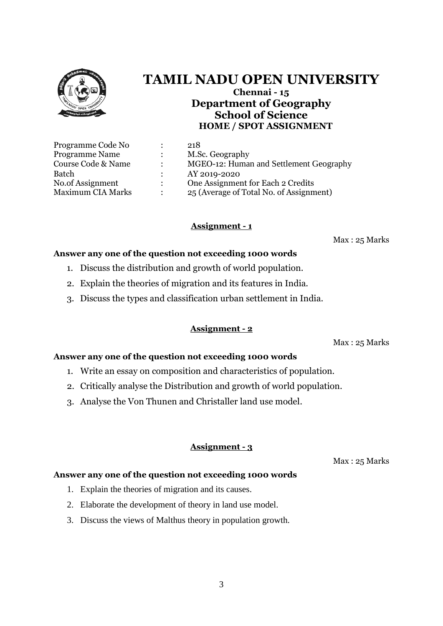

## **TAMIL NADU OPEN UNIVERSITY Chennai - 15 Department of Geography School of Science HOME / SPOT ASSIGNMENT**

|               | 218                                     |
|---------------|-----------------------------------------|
|               | M.Sc. Geography                         |
|               | MGEO-12: Human and Settlement Geography |
|               | AY 2019-2020                            |
| $\mathcal{L}$ | One Assignment for Each 2 Credits       |
|               | 25 (Average of Total No. of Assignment) |
|               |                                         |

### **Assignment - 1**

Max : 25 Marks

#### **Answer any one of the question not exceeding 1000 words**

- 1. Discuss the distribution and growth of world population.
- 2. Explain the theories of migration and its features in India.
- 3. Discuss the types and classification urban settlement in India.

#### **Assignment - 2**

Max : 25 Marks

#### **Answer any one of the question not exceeding 1000 words**

- 1. Write an essay on composition and characteristics of population.
- 2. Critically analyse the Distribution and growth of world population.
- 3. Analyse the Von Thunen and Christaller land use model.

#### **Assignment - 3**

Max : 25 Marks

#### **Answer any one of the question not exceeding 1000 words**

- 1. Explain the theories of migration and its causes.
- 2. Elaborate the development of theory in land use model.
- 3. Discuss the views of Malthus theory in population growth.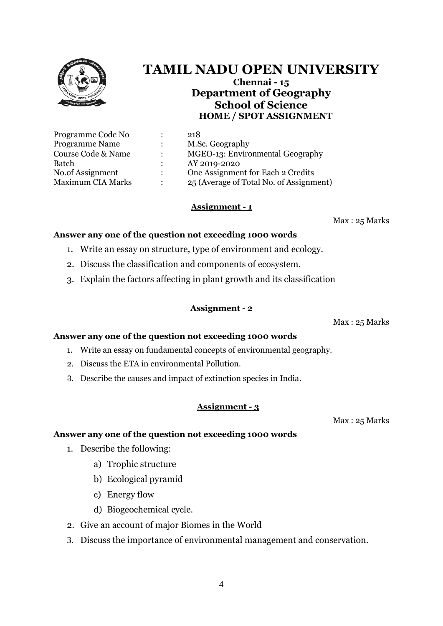# **TAMIL NADU OPEN UNIVERSITY**

**Chennai - 15 Department of Geography School of Science HOME / SPOT ASSIGNMENT**

| 218                                     |
|-----------------------------------------|
| M.Sc. Geography                         |
| MGEO-13: Environmental Geography        |
| AY 2019-2020                            |
| One Assignment for Each 2 Credits       |
| 25 (Average of Total No. of Assignment) |
|                                         |

#### **Assignment - 1**

Max : 25 Marks

#### **Answer any one of the question not exceeding 1000 words**

- 1. Write an essay on structure, type of environment and ecology.
- 2. Discuss the classification and components of ecosystem.
- 3. Explain the factors affecting in plant growth and its classification

### **Assignment - 2**

Max : 25 Marks

#### **Answer any one of the question not exceeding 1000 words**

- 1. Write an essay on fundamental concepts of environmental geography.
- 2. Discuss the ETA in environmental Pollution.
- 3. Describe the causes and impact of extinction species in India.

### **Assignment - 3**

Max : 25 Marks

#### **Answer any one of the question not exceeding 1000 words**

- 1. Describe the following:
	- a) Trophic structure
	- b) Ecological pyramid
	- c) Energy flow
	- d) Biogeochemical cycle.
- 2. Give an account of major Biomes in the World
- 3. Discuss the importance of environmental management and conservation.

4